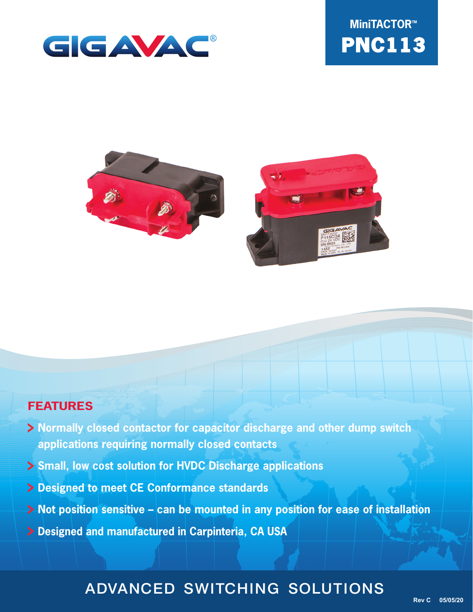





## **FEATURES**

- **Normally closed contactor for capacitor discharge and other dump switch applications requiring normally closed contacts**
- **Small, low cost solution for HVDC Discharge applications**
- **Designed to meet CE Conformance standards**
- **Not position sensitive can be mounted in any position for ease of installation**
- **Designed and manufactured in Carpinteria, CA USA**

## ADVANCED SWITCHING SOLUTIONS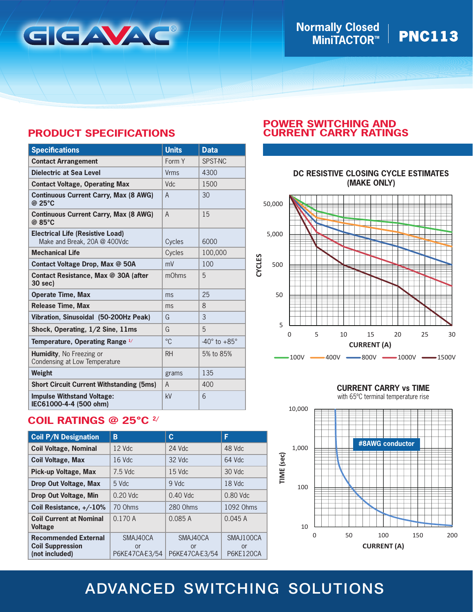

# **Normally Closed │ PNC113**

## **PRODUCT SPECIFICATIONS**

| <b>Specifications</b>                                                   | <b>Units</b> | <b>Data</b>                |
|-------------------------------------------------------------------------|--------------|----------------------------|
| <b>Contact Arrangement</b>                                              | Form Y       | SPST-NC                    |
| <b>Dielectric at Sea Level</b>                                          | <b>Vrms</b>  | 4300                       |
| <b>Contact Voltage, Operating Max</b>                                   | Vdc          | 1500                       |
| <b>Continuous Current Carry, Max (8 AWG)</b><br>@ 25°C                  | A            | 30                         |
| <b>Continuous Current Carry, Max (8 AWG)</b><br>@ 85°C                  | $\mathsf{A}$ | 15                         |
| <b>Electrical Life (Resistive Load)</b><br>Make and Break, 20A @ 400Vdc | Cycles       | 6000                       |
| <b>Mechanical Life</b>                                                  | Cycles       | 100,000                    |
| Contact Voltage Drop, Max @ 50A                                         | mV           | 100                        |
| Contact Resistance, Max @ 30A (after<br>30 sec)                         | mOhms        | 5                          |
| <b>Operate Time, Max</b>                                                | ms           | 25                         |
| <b>Release Time, Max</b>                                                | ms           | 8                          |
| Vibration, Sinusoidal (50-200Hz Peak)                                   | G            | 3                          |
| Shock, Operating, 1/2 Sine, 11ms                                        | G            | 5                          |
| Temperature, Operating Range 1/                                         | °C           | $-40^\circ$ to $+85^\circ$ |
| <b>Humidity.</b> No Freezing or<br>Condensing at Low Temperature        | <b>RH</b>    | 5% to 85%                  |
| Weight                                                                  | grams        | 135                        |
| <b>Short Circuit Current Withstanding (5ms)</b>                         | A            | 400                        |
| <b>Impulse Withstand Voltage:</b><br>IEC61000-4-4 (500 ohm)             | kV           | 6                          |

## **COIL RATINGS @ 25°C 2/**

| <b>Coil P/N Designation</b>                                              | B                                | C                                | F                                   |
|--------------------------------------------------------------------------|----------------------------------|----------------------------------|-------------------------------------|
| <b>Coil Voltage, Nominal</b>                                             | $12$ Vdc                         | $24$ Vdc                         | 48 Vdc                              |
| <b>Coil Voltage, Max</b>                                                 | 16 Vdc                           | 32 Vdc                           | 64 Vdc                              |
| Pick-up Voltage, Max                                                     | 7.5 Vdc                          | 15 Vdc                           | 30 Vdc                              |
| <b>Drop Out Voltage, Max</b>                                             | $5$ Vdc.                         | 9 Vdc                            | 18 Vdc                              |
| <b>Drop Out Voltage, Min</b>                                             | $0.20$ Vdc                       | $0.40$ Vdc                       | $0.80$ Vdc                          |
| Coil Resistance, +/-10%                                                  | 70 Ohms                          | 280 Ohms                         | 1092 Ohms                           |
| <b>Coil Current at Nominal</b><br><b>Voltage</b>                         | 0.170A                           | 0.085A                           | 0.045A                              |
| <b>Recommended External</b><br><b>Coil Suppression</b><br>(not included) | SMAJ40CA<br>or<br>P6KE47CA-E3/54 | SMAJ40CA<br>or<br>P6KE47CA-E3/54 | SMAJ100CA<br>or<br><b>P6KE120CA</b> |

## **POWER SWITCHING AND CURRENT CARRY RATINGS**



### **CURRENT CARRY vs TIME**

with 65ºC terminal temperature rise



## ADVANCED SWITCHING SOLUTIONS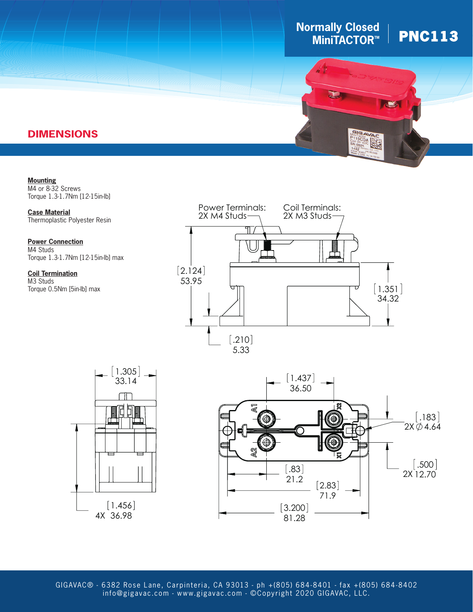# **Normally Closed │ PNC113**





## **DIMENSIONS**

**Mounting** M4 or 8-32 Screws Torque 1.3-1.7Nm [12-15in-lb]

**Case Material** Thermoplastic Polyester Resin

.183 Torque 1.3-1.7Nm [12-15in-lb] max **Power Connection** M4 Studs

**Coil Termination** M3 Studs Torque 0.5Nm [5in-lb] max







2.124 info@gigavac.com - www.gigavac.com - ©Copyright 2020 GIGAVAC, LLC. GIGAVAC® - 6382 Rose Lane, Carpinteria, CA 93013 - ph +(805) 684-8401 - fax +(805) 684-8402